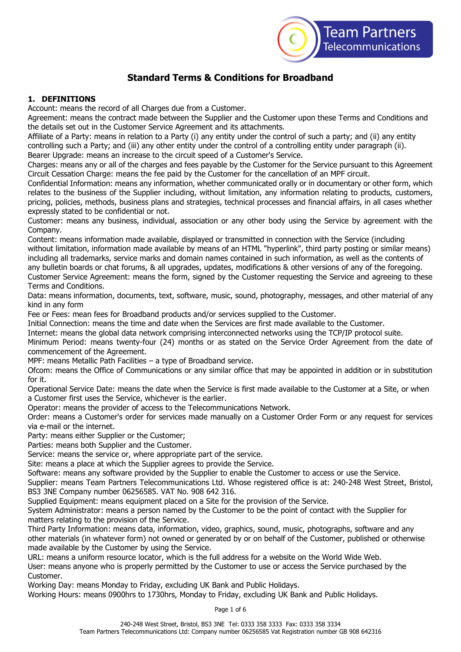

# **Standard Terms & Conditions for Broadband**

## **1. DEFINITIONS**

Account: means the record of all Charges due from a Customer.

Agreement: means the contract made between the Supplier and the Customer upon these Terms and Conditions and the details set out in the Customer Service Agreement and its attachments.

Affiliate of a Party: means in relation to a Party (i) any entity under the control of such a party; and (ii) any entity controlling such a Party; and (iii) any other entity under the control of a controlling entity under paragraph (ii). Bearer Upgrade: means an increase to the circuit speed of a Customer's Service.

Charges: means any or all of the charges and fees payable by the Customer for the Service pursuant to this Agreement Circuit Cessation Charge: means the fee paid by the Customer for the cancellation of an MPF circuit.

Confidential Information: means any information, whether communicated orally or in documentary or other form, which relates to the business of the Supplier including, without limitation, any information relating to products, customers, pricing, policies, methods, business plans and strategies, technical processes and financial affairs, in all cases whether expressly stated to be confidential or not.

Customer: means any business, individual, association or any other body using the Service by agreement with the Company.

Content: means information made available, displayed or transmitted in connection with the Service (including without limitation, information made available by means of an HTML "hyperlink", third party posting or similar means) including all trademarks, service marks and domain names contained in such information, as well as the contents of any bulletin boards or chat forums, & all upgrades, updates, modifications & other versions of any of the foregoing.

Customer Service Agreement: means the form, signed by the Customer requesting the Service and agreeing to these Terms and Conditions.

Data: means information, documents, text, software, music, sound, photography, messages, and other material of any kind in any form

Fee or Fees: mean fees for Broadband products and/or services supplied to the Customer.

Initial Connection: means the time and date when the Services are first made available to the Customer.

Internet: means the global data network comprising interconnected networks using the TCP/IP protocol suite.

Minimum Period: means twenty-four (24) months or as stated on the Service Order Agreement from the date of commencement of the Agreement.

MPF: means Metallic Path Facilities – a type of Broadband service.

Ofcom: means the Office of Communications or any similar office that may be appointed in addition or in substitution for it.

Operational Service Date: means the date when the Service is first made available to the Customer at a Site, or when a Customer first uses the Service, whichever is the earlier.

Operator: means the provider of access to the Telecommunications Network.

Order: means a Customer's order for services made manually on a Customer Order Form or any request for services via e-mail or the internet.

Party: means either Supplier or the Customer;

Parties: means both Supplier and the Customer.

Service: means the service or, where appropriate part of the service.

Site: means a place at which the Supplier agrees to provide the Service.

Software: means any software provided by the Supplier to enable the Customer to access or use the Service.

Supplier: means Team Partners Telecommunications Ltd. Whose registered office is at: 240-248 West Street, Bristol, BS3 3NE Company number 06256585. VAT No. 908 642 316.

Supplied Equipment: means equipment placed on a Site for the provision of the Service.

System Administrator: means a person named by the Customer to be the point of contact with the Supplier for matters relating to the provision of the Service.

Third Party Information: means data, information, video, graphics, sound, music, photographs, software and any other materials (in whatever form) not owned or generated by or on behalf of the Customer, published or otherwise made available by the Customer by using the Service.

URL: means a uniform resource locator, which is the full address for a website on the World Wide Web. User: means anyone who is properly permitted by the Customer to use or access the Service purchased by the Customer.

Working Day: means Monday to Friday, excluding UK Bank and Public Holidays.

Working Hours: means 0900hrs to 1730hrs, Monday to Friday, excluding UK Bank and Public Holidays.

Page 1 of 6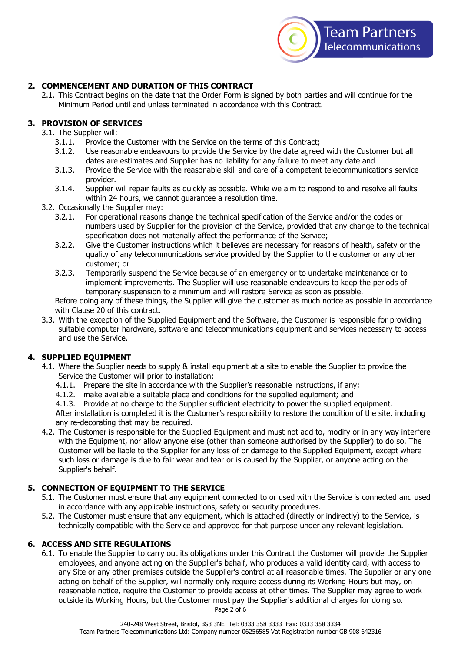

# **2. COMMENCEMENT AND DURATION OF THIS CONTRACT**

2.1. This Contract begins on the date that the Order Form is signed by both parties and will continue for the Minimum Period until and unless terminated in accordance with this Contract.

## **3. PROVISION OF SERVICES**

- 3.1. The Supplier will:
	- 3.1.1. Provide the Customer with the Service on the terms of this Contract;
	- 3.1.2. Use reasonable endeavours to provide the Service by the date agreed with the Customer but all dates are estimates and Supplier has no liability for any failure to meet any date and
	- 3.1.3. Provide the Service with the reasonable skill and care of a competent telecommunications service provider.
	- 3.1.4. Supplier will repair faults as quickly as possible. While we aim to respond to and resolve all faults within 24 hours, we cannot quarantee a resolution time.
- 3.2. Occasionally the Supplier may:
	- 3.2.1. For operational reasons change the technical specification of the Service and/or the codes or numbers used by Supplier for the provision of the Service, provided that any change to the technical specification does not materially affect the performance of the Service;
	- 3.2.2. Give the Customer instructions which it believes are necessary for reasons of health, safety or the quality of any telecommunications service provided by the Supplier to the customer or any other customer; or
	- 3.2.3. Temporarily suspend the Service because of an emergency or to undertake maintenance or to implement improvements. The Supplier will use reasonable endeavours to keep the periods of temporary suspension to a minimum and will restore Service as soon as possible.

Before doing any of these things, the Supplier will give the customer as much notice as possible in accordance with Clause 20 of this contract.

3.3. With the exception of the Supplied Equipment and the Software, the Customer is responsible for providing suitable computer hardware, software and telecommunications equipment and services necessary to access and use the Service.

# **4. SUPPLIED EQUIPMENT**

- 4.1. Where the Supplier needs to supply & install equipment at a site to enable the Supplier to provide the Service the Customer will prior to installation:
	- 4.1.1. Prepare the site in accordance with the Supplier's reasonable instructions, if any;
	- 4.1.2. make available a suitable place and conditions for the supplied equipment; and
	- 4.1.3. Provide at no charge to the Supplier sufficient electricity to power the supplied equipment.

After installation is completed it is the Customer's responsibility to restore the condition of the site, including any re-decorating that may be required.

4.2. The Customer is responsible for the Supplied Equipment and must not add to, modify or in any way interfere with the Equipment, nor allow anyone else (other than someone authorised by the Supplier) to do so. The Customer will be liable to the Supplier for any loss of or damage to the Supplied Equipment, except where such loss or damage is due to fair wear and tear or is caused by the Supplier, or anyone acting on the Supplier's behalf.

# **5. CONNECTION OF EQUIPMENT TO THE SERVICE**

- 5.1. The Customer must ensure that any equipment connected to or used with the Service is connected and used in accordance with any applicable instructions, safety or security procedures.
- 5.2. The Customer must ensure that any equipment, which is attached (directly or indirectly) to the Service, is technically compatible with the Service and approved for that purpose under any relevant legislation.

#### **6. ACCESS AND SITE REGULATIONS**

6.1. To enable the Supplier to carry out its obligations under this Contract the Customer will provide the Supplier employees, and anyone acting on the Supplier's behalf, who produces a valid identity card, with access to any Site or any other premises outside the Supplier's control at all reasonable times. The Supplier or any one acting on behalf of the Supplier, will normally only require access during its Working Hours but may, on reasonable notice, require the Customer to provide access at other times. The Supplier may agree to work outside its Working Hours, but the Customer must pay the Supplier's additional charges for doing so.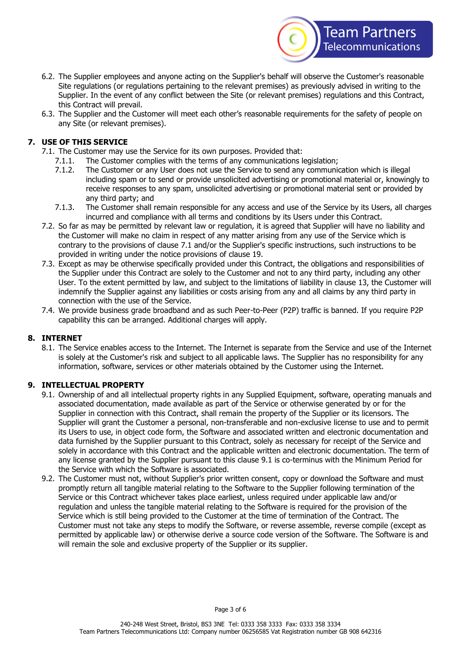

- 6.2. The Supplier employees and anyone acting on the Supplier's behalf will observe the Customer's reasonable Site regulations (or regulations pertaining to the relevant premises) as previously advised in writing to the Supplier. In the event of any conflict between the Site (or relevant premises) regulations and this Contract, this Contract will prevail.
- 6.3. The Supplier and the Customer will meet each other's reasonable requirements for the safety of people on any Site (or relevant premises).

# **7. USE OF THIS SERVICE**

- 7.1. The Customer may use the Service for its own purposes. Provided that:
	- 7.1.1. The Customer complies with the terms of any communications legislation;
	- 7.1.2. The Customer or any User does not use the Service to send any communication which is illegal including spam or to send or provide unsolicited advertising or promotional material or, knowingly to receive responses to any spam, unsolicited advertising or promotional material sent or provided by any third party; and
	- 7.1.3. The Customer shall remain responsible for any access and use of the Service by its Users, all charges incurred and compliance with all terms and conditions by its Users under this Contract.
- 7.2. So far as may be permitted by relevant law or regulation, it is agreed that Supplier will have no liability and the Customer will make no claim in respect of any matter arising from any use of the Service which is contrary to the provisions of clause 7.1 and/or the Supplier's specific instructions, such instructions to be provided in writing under the notice provisions of clause 19.
- 7.3. Except as may be otherwise specifically provided under this Contract, the obligations and responsibilities of the Supplier under this Contract are solely to the Customer and not to any third party, including any other User. To the extent permitted by law, and subject to the limitations of liability in clause 13, the Customer will indemnify the Supplier against any liabilities or costs arising from any and all claims by any third party in connection with the use of the Service.
- 7.4. We provide business grade broadband and as such Peer-to-Peer (P2P) traffic is banned. If you require P2P capability this can be arranged. Additional charges will apply.

# **8. INTERNET**

8.1. The Service enables access to the Internet. The Internet is separate from the Service and use of the Internet is solely at the Customer's risk and subject to all applicable laws. The Supplier has no responsibility for any information, software, services or other materials obtained by the Customer using the Internet.

# **9. INTELLECTUAL PROPERTY**

- 9.1. Ownership of and all intellectual property rights in any Supplied Equipment, software, operating manuals and associated documentation, made available as part of the Service or otherwise generated by or for the Supplier in connection with this Contract, shall remain the property of the Supplier or its licensors. The Supplier will grant the Customer a personal, non-transferable and non-exclusive license to use and to permit its Users to use, in object code form, the Software and associated written and electronic documentation and data furnished by the Supplier pursuant to this Contract, solely as necessary for receipt of the Service and solely in accordance with this Contract and the applicable written and electronic documentation. The term of any license granted by the Supplier pursuant to this clause 9.1 is co-terminus with the Minimum Period for the Service with which the Software is associated.
- 9.2. The Customer must not, without Supplier's prior written consent, copy or download the Software and must promptly return all tangible material relating to the Software to the Supplier following termination of the Service or this Contract whichever takes place earliest, unless required under applicable law and/or regulation and unless the tangible material relating to the Software is required for the provision of the Service which is still being provided to the Customer at the time of termination of the Contract. The Customer must not take any steps to modify the Software, or reverse assemble, reverse compile (except as permitted by applicable law) or otherwise derive a source code version of the Software. The Software is and will remain the sole and exclusive property of the Supplier or its supplier.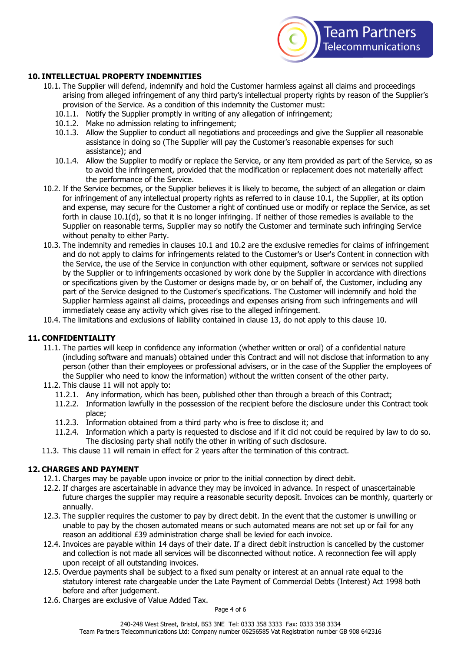

## **10. INTELLECTUAL PROPERTY INDEMNITIES**

- 10.1. The Supplier will defend, indemnify and hold the Customer harmless against all claims and proceedings arising from alleged infringement of any third party's intellectual property rights by reason of the Supplier's provision of the Service. As a condition of this indemnity the Customer must:
	- 10.1.1. Notify the Supplier promptly in writing of any allegation of infringement;
	- 10.1.2. Make no admission relating to infringement;
	- 10.1.3. Allow the Supplier to conduct all negotiations and proceedings and give the Supplier all reasonable assistance in doing so (The Supplier will pay the Customer's reasonable expenses for such assistance); and
	- 10.1.4. Allow the Supplier to modify or replace the Service, or any item provided as part of the Service, so as to avoid the infringement, provided that the modification or replacement does not materially affect the performance of the Service.
- 10.2. If the Service becomes, or the Supplier believes it is likely to become, the subject of an allegation or claim for infringement of any intellectual property rights as referred to in clause 10.1, the Supplier, at its option and expense, may secure for the Customer a right of continued use or modify or replace the Service, as set forth in clause 10.1(d), so that it is no longer infringing. If neither of those remedies is available to the Supplier on reasonable terms, Supplier may so notify the Customer and terminate such infringing Service without penalty to either Party.
- 10.3. The indemnity and remedies in clauses 10.1 and 10.2 are the exclusive remedies for claims of infringement and do not apply to claims for infringements related to the Customer's or User's Content in connection with the Service, the use of the Service in conjunction with other equipment, software or services not supplied by the Supplier or to infringements occasioned by work done by the Supplier in accordance with directions or specifications given by the Customer or designs made by, or on behalf of, the Customer, including any part of the Service designed to the Customer's specifications. The Customer will indemnify and hold the Supplier harmless against all claims, proceedings and expenses arising from such infringements and will immediately cease any activity which gives rise to the alleged infringement.
- 10.4. The limitations and exclusions of liability contained in clause 13, do not apply to this clause 10.

#### **11. CONFIDENTIALITY**

- 11.1. The parties will keep in confidence any information (whether written or oral) of a confidential nature (including software and manuals) obtained under this Contract and will not disclose that information to any person (other than their employees or professional advisers, or in the case of the Supplier the employees of the Supplier who need to know the information) without the written consent of the other party.
- 11.2. This clause 11 will not apply to:
	- 11.2.1. Any information, which has been, published other than through a breach of this Contract;
	- 11.2.2. Information lawfully in the possession of the recipient before the disclosure under this Contract took place;
	- 11.2.3. Information obtained from a third party who is free to disclose it; and
	- 11.2.4. Information which a party is requested to disclose and if it did not could be required by law to do so. The disclosing party shall notify the other in writing of such disclosure.
- 11.3. This clause 11 will remain in effect for 2 years after the termination of this contract.

#### **12. CHARGES AND PAYMENT**

- 12.1. Charges may be payable upon invoice or prior to the initial connection by direct debit.
- 12.2. If charges are ascertainable in advance they may be invoiced in advance. In respect of unascertainable future charges the supplier may require a reasonable security deposit. Invoices can be monthly, quarterly or annually.
- 12.3. The supplier requires the customer to pay by direct debit. In the event that the customer is unwilling or unable to pay by the chosen automated means or such automated means are not set up or fail for any reason an additional £39 administration charge shall be levied for each invoice.
- 12.4. Invoices are payable within 14 days of their date. If a direct debit instruction is cancelled by the customer and collection is not made all services will be disconnected without notice. A reconnection fee will apply upon receipt of all outstanding invoices.
- 12.5. Overdue payments shall be subject to a fixed sum penalty or interest at an annual rate equal to the statutory interest rate chargeable under the Late Payment of Commercial Debts (Interest) Act 1998 both before and after judgement.
- 12.6. Charges are exclusive of Value Added Tax.

Page 4 of 6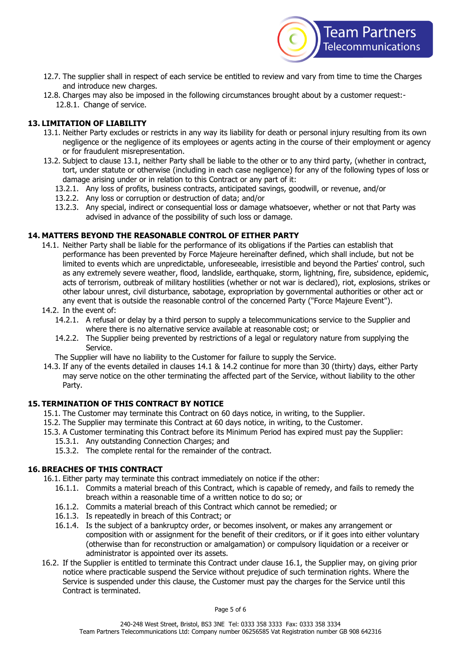

- 12.7. The supplier shall in respect of each service be entitled to review and vary from time to time the Charges and introduce new charges.
- 12.8. Charges may also be imposed in the following circumstances brought about by a customer request:- 12.8.1. Change of service.

## **13. LIMITATION OF LIABILITY**

- 13.1. Neither Party excludes or restricts in any way its liability for death or personal injury resulting from its own negligence or the negligence of its employees or agents acting in the course of their employment or agency or for fraudulent misrepresentation.
- 13.2. Subject to clause 13.1, neither Party shall be liable to the other or to any third party, (whether in contract, tort, under statute or otherwise (including in each case negligence) for any of the following types of loss or damage arising under or in relation to this Contract or any part of it:
	- 13.2.1. Any loss of profits, business contracts, anticipated savings, goodwill, or revenue, and/or
	- 13.2.2. Any loss or corruption or destruction of data; and/or
	- 13.2.3. Any special, indirect or consequential loss or damage whatsoever, whether or not that Party was advised in advance of the possibility of such loss or damage.

#### **14. MATTERS BEYOND THE REASONABLE CONTROL OF EITHER PARTY**

- 14.1. Neither Party shall be liable for the performance of its obligations if the Parties can establish that performance has been prevented by Force Majeure hereinafter defined, which shall include, but not be limited to events which are unpredictable, unforeseeable, irresistible and beyond the Parties' control, such as any extremely severe weather, flood, landslide, earthquake, storm, lightning, fire, subsidence, epidemic, acts of terrorism, outbreak of military hostilities (whether or not war is declared), riot, explosions, strikes or other labour unrest, civil disturbance, sabotage, expropriation by governmental authorities or other act or any event that is outside the reasonable control of the concerned Party ("Force Majeure Event").
- 14.2. In the event of:
	- 14.2.1. A refusal or delay by a third person to supply a telecommunications service to the Supplier and where there is no alternative service available at reasonable cost; or
	- 14.2.2. The Supplier being prevented by restrictions of a legal or regulatory nature from supplying the Service.

The Supplier will have no liability to the Customer for failure to supply the Service.

14.3. If any of the events detailed in clauses 14.1 & 14.2 continue for more than 30 (thirty) days, either Party may serve notice on the other terminating the affected part of the Service, without liability to the other Party.

#### **15. TERMINATION OF THIS CONTRACT BY NOTICE**

- 15.1. The Customer may terminate this Contract on 60 days notice, in writing, to the Supplier.
- 15.2. The Supplier may terminate this Contract at 60 days notice, in writing, to the Customer.
- 15.3. A Customer terminating this Contract before its Minimum Period has expired must pay the Supplier:
	- 15.3.1. Any outstanding Connection Charges; and
	- 15.3.2. The complete rental for the remainder of the contract.

#### **16. BREACHES OF THIS CONTRACT**

16.1. Either party may terminate this contract immediately on notice if the other:

- 16.1.1. Commits a material breach of this Contract, which is capable of remedy, and fails to remedy the breach within a reasonable time of a written notice to do so; or
- 16.1.2. Commits a material breach of this Contract which cannot be remedied; or
- 16.1.3. Is repeatedly in breach of this Contract; or
- 16.1.4. Is the subject of a bankruptcy order, or becomes insolvent, or makes any arrangement or composition with or assignment for the benefit of their creditors, or if it goes into either voluntary (otherwise than for reconstruction or amalgamation) or compulsory liquidation or a receiver or administrator is appointed over its assets.
- 16.2. If the Supplier is entitled to terminate this Contract under clause 16.1, the Supplier may, on giving prior notice where practicable suspend the Service without prejudice of such termination rights. Where the Service is suspended under this clause, the Customer must pay the charges for the Service until this Contract is terminated.